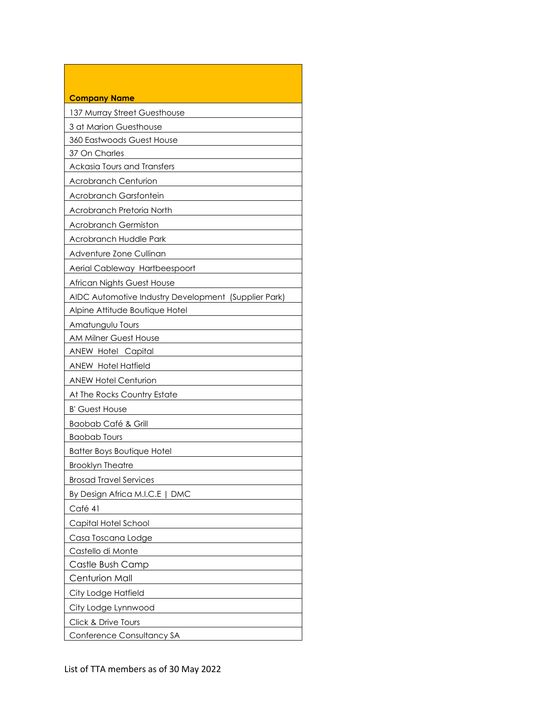| <b>Company Name</b>                                  |
|------------------------------------------------------|
| 137 Murray Street Guesthouse                         |
| 3 at Marion Guesthouse                               |
| 360 Eastwoods Guest House                            |
| 37 On Charles                                        |
| Ackasia Tours and Transfers                          |
| <b>Acrobranch Centurion</b>                          |
| Acrobranch Garsfontein                               |
| Acrobranch Pretoria North                            |
| <b>Acrobranch Germiston</b>                          |
| Acrobranch Huddle Park                               |
| Adventure Zone Cullinan                              |
| Aerial Cableway Hartbeespoort                        |
| African Nights Guest House                           |
| AIDC Automotive Industry Development (Supplier Park) |
| Alpine Attitude Boutique Hotel                       |
| Amatungulu Tours                                     |
| <b>AM Milner Guest House</b>                         |
| ANEW Hotel Capital                                   |
| <b>ANEW Hotel Hatfield</b>                           |
| <b>ANEW Hotel Centurion</b>                          |
| At The Rocks Country Estate                          |
| <b>B' Guest House</b>                                |
| <b>Baobab Café &amp; Grill</b>                       |
| <b>Baobab Tours</b>                                  |
| <b>Batter Boys Boutique Hotel</b>                    |
| <b>Brooklyn Theatre</b>                              |
| <b>Brosad Travel Services</b>                        |
| By Design Africa M.I.C.E   DMC                       |
| Café 41                                              |
| Capital Hotel School                                 |
| Casa Toscana Lodge                                   |
| Castello di Monte                                    |
| Castle Bush Camp                                     |
| Centurion Mall                                       |
| City Lodge Hatfield                                  |
| City Lodge Lynnwood                                  |
| Click & Drive Tours                                  |
| Conference Consultancy SA                            |

Г

٦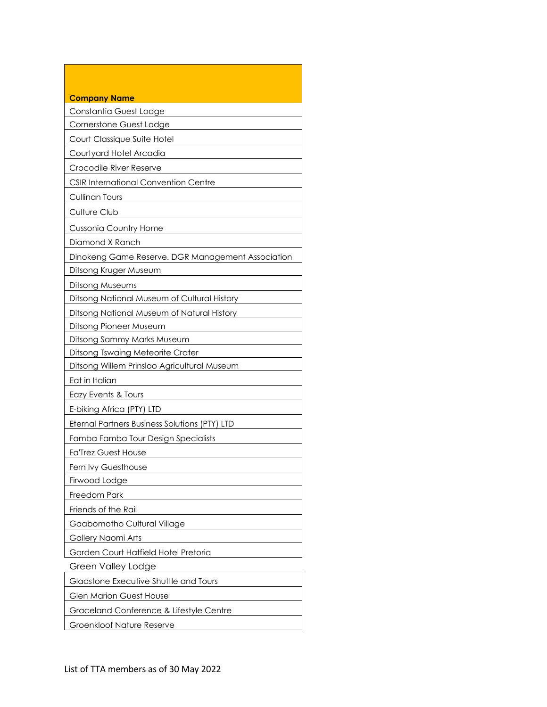| <b>Company Name</b>                               |
|---------------------------------------------------|
| Constantia Guest Lodge                            |
| Cornerstone Guest Lodge                           |
| Court Classique Suite Hotel                       |
| Courtyard Hotel Arcadia                           |
| Crocodile River Reserve                           |
| <b>CSIR International Convention Centre</b>       |
| <b>Cullinan Tours</b>                             |
| Culture Club                                      |
| <b>Cussonia Country Home</b>                      |
| Diamond X Ranch                                   |
| Dinokeng Game Reserve. DGR Management Association |
| Ditsong Kruger Museum                             |
| Ditsong Museums                                   |
| Ditsong National Museum of Cultural History       |
| Ditsong National Museum of Natural History        |
| Ditsong Pioneer Museum                            |
| Ditsong Sammy Marks Museum                        |
| Ditsong Tswaing Meteorite Crater                  |
| Ditsong Willem Prinsloo Agricultural Museum       |
| Eat in Italian                                    |
| Eazy Events & Tours                               |
| E-biking Africa (PTY) LTD                         |
| Eternal Partners Business Solutions (PTY) LTD     |
| Famba Famba Tour Design Specialists               |
| <b>Fa'Trez Guest House</b>                        |
| Fern Ivy Guesthouse                               |
| Firwood Lodge                                     |
| Freedom Park                                      |
| Friends of the Rail                               |
| Gaabomotho Cultural Village                       |
| Gallery Naomi Arts                                |
| Garden Court Hatfield Hotel Pretoria              |
| Green Valley Lodge                                |
| Gladstone Executive Shuttle and Tours             |
| <b>Glen Marion Guest House</b>                    |
| Graceland Conference & Lifestyle Centre           |
| Groenkloof Nature Reserve                         |

п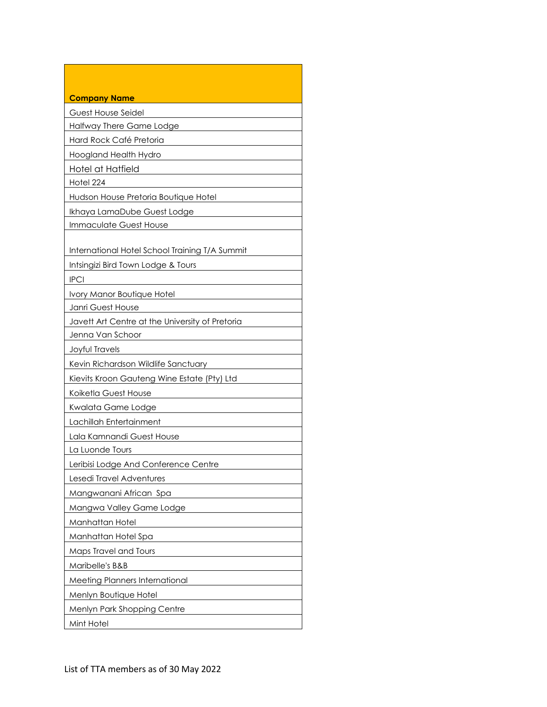| <b>Company Name</b>                             |
|-------------------------------------------------|
| Guest House Seidel                              |
| Halfway There Game Lodge                        |
| Hard Rock Café Pretoria                         |
| Hoogland Health Hydro                           |
| Hotel at Hatfield                               |
| Hotel 224                                       |
| Hudson House Pretoria Boutique Hotel            |
| Ikhaya LamaDube Guest Lodge                     |
| Immaculate Guest House                          |
|                                                 |
| International Hotel School Training T/A Summit  |
| Intsingizi Bird Town Lodge & Tours              |
| <b>IPCI</b>                                     |
| Ivory Manor Boutique Hotel                      |
| Janri Guest House                               |
| Javett Art Centre at the University of Pretoria |
| <u>Jenna Van Schoor</u>                         |
| Joyful Travels                                  |
| Kevin Richardson Wildlife Sanctuary             |
| Kievits Kroon Gauteng Wine Estate (Pty) Ltd     |
| Koiketla Guest House                            |
| Kwalata Game Lodge                              |
| Lachillah Entertainment                         |
| Lala Kamnandi Guest House                       |
| La Luonde Tours                                 |
| Leribisi Lodge And Conference Centre            |
| Lesedi Travel Adventures                        |
| Mangwanani African Spa                          |
| Mangwa Valley Game Lodge                        |
| Manhattan Hotel                                 |
| Manhattan Hotel Spa                             |
| Maps Travel and Tours                           |
| Maribelle's B&B                                 |
| <b>Meeting Planners International</b>           |
| Menlyn Boutique Hotel                           |
| Menlyn Park Shopping Centre                     |
| Mint Hotel                                      |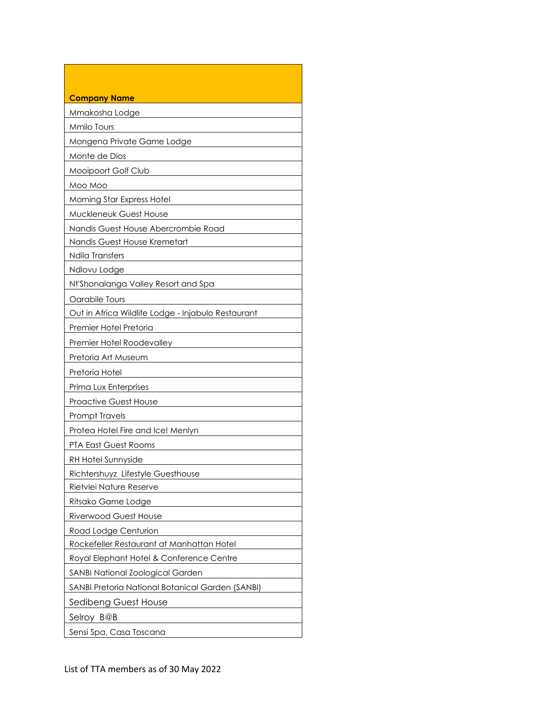| <b>Company Name</b>                                |
|----------------------------------------------------|
| Mmakosha Lodge                                     |
| Mmilo Tours                                        |
| Mongena Private Game Lodge                         |
| Monte de Dios                                      |
| Mooipoort Golf Club                                |
| Moo Moo                                            |
| <b>Morning Star Express Hotel</b>                  |
| Muckleneuk Guest House                             |
| Nandis Guest House Abercrombie Road                |
| Nandis Guest House Kremetart                       |
| Ndila Transfers                                    |
| Ndlovu Lodge                                       |
| Nt'Shonalanga Valley Resort and Spa                |
| Oarabile Tours                                     |
| Out in Africa Wildlife Lodge - Injabulo Restaurant |
| Premier Hotel Pretoria                             |
| Premier Hotel Roodevalley                          |
| Pretoria Art Museum                                |
| Pretoria Hotel                                     |
| Prima Lux Enterprises                              |
| <b>Proactive Guest House</b>                       |
| <b>Prompt Travels</b>                              |
| Protea Hotel Fire and Ice! Menlyn                  |
| PTA East Guest Rooms                               |
| RH Hotel Sunnyside                                 |
| Richtershuyz Lifestyle Guesthouse                  |
| Rietvlei Nature Reserve                            |
| Ritsako Game Lodge                                 |
| <b>Riverwood Guest House</b>                       |
| Road Lodge Centurion                               |
| Rockefeller Restaurant at Manhattan Hotel          |
| Royal Elephant Hotel & Conference Centre           |
| SANBI National Zoological Garden                   |
| SANBI Pretoria National Botanical Garden (SANBI)   |
| Sedibeng Guest House                               |
| Selroy B@B                                         |
| Sensi Spa, Casa Toscana                            |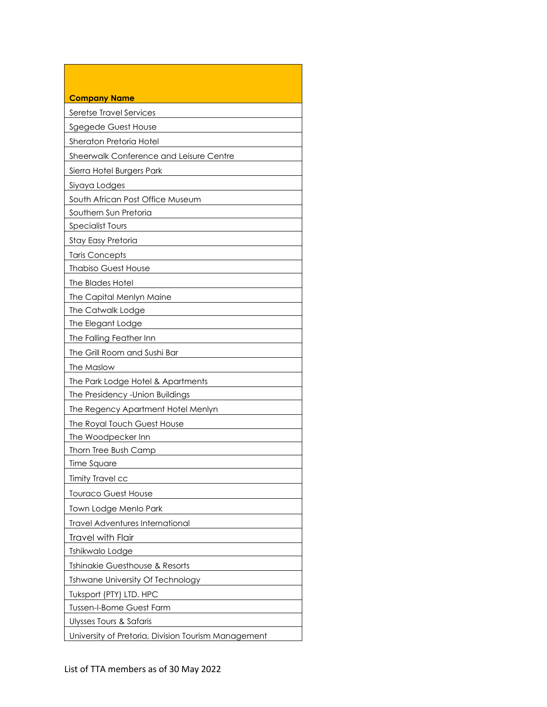| <b>Company Name</b>                                 |
|-----------------------------------------------------|
| Seretse Travel Services                             |
| Sgegede Guest House                                 |
| Sheraton Pretoria Hotel                             |
| Sheerwalk Conference and Leisure Centre             |
| Sierra Hotel Burgers Park                           |
| Siyaya Lodges                                       |
| South African Post Office Museum                    |
| Southern Sun Pretoria                               |
| <b>Specialist Tours</b>                             |
| Stay Easy Pretoria                                  |
| <b>Taris Concepts</b>                               |
| <b>Thabiso Guest House</b>                          |
| The Blades Hotel                                    |
| The Capital Menlyn Maine                            |
| The Catwalk Lodge                                   |
| The Elegant Lodge                                   |
| The Falling Feather Inn                             |
| The Grill Room and Sushi Bar                        |
| The Maslow                                          |
| The Park Lodge Hotel & Apartments                   |
| The Presidency - Union Buildings                    |
| The Regency Apartment Hotel Menlyn                  |
| The Royal Touch Guest House                         |
| The Woodpecker Inn                                  |
| Thorn Tree Bush Camp                                |
| Time Square                                         |
| <b>Timity Travel cc</b>                             |
| <b>Touraco Guest House</b>                          |
| Town Lodge Menlo Park                               |
| <b>Travel Adventures International</b>              |
| <b>Travel with Flair</b>                            |
| Tshikwalo Lodge                                     |
| Tshinakie Guesthouse & Resorts                      |
| <b>Tshwane University Of Technology</b>             |
| Tuksport (PTY) LTD. HPC                             |
| <b>Tussen-I-Bome Guest Farm</b>                     |
| Ulysses Tours & Safaris                             |
| University of Pretoria, Division Tourism Management |

Г

٦